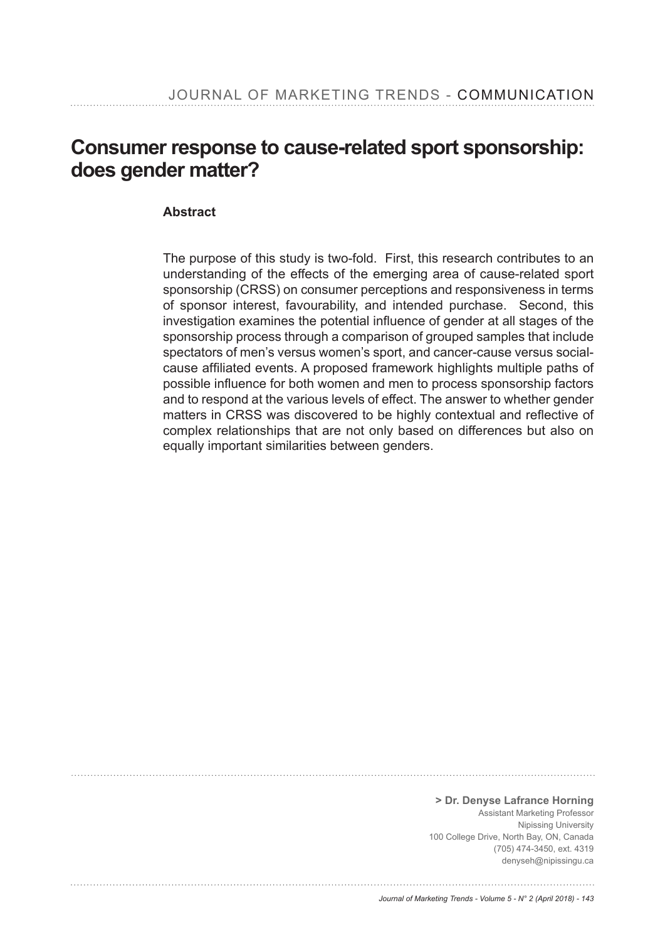# **Consumer response to cause-related sport sponsorship: does gender matter?**

# **Abstract**

The purpose of this study is two-fold. First, this research contributes to an understanding of the effects of the emerging area of cause-related sport sponsorship (CRSS) on consumer perceptions and responsiveness in terms of sponsor interest, favourability, and intended purchase. Second, this investigation examines the potential influence of gender at all stages of the sponsorship process through a comparison of grouped samples that include spectators of men's versus women's sport, and cancer-cause versus socialcause affiliated events. A proposed framework highlights multiple paths of possible influence for both women and men to process sponsorship factors and to respond at the various levels of effect. The answer to whether gender matters in CRSS was discovered to be highly contextual and reflective of complex relationships that are not only based on differences but also on equally important similarities between genders.

**> Dr. Denyse Lafrance Horning**  Assistant Marketing Professor Nipissing University 100 College Drive, North Bay, ON, Canada (705) 474-3450, ext. 4319 denyseh@nipissingu.ca

#### *Journal of Marketing Trends - Volume 5 - N° 2 (April 2018) - 143*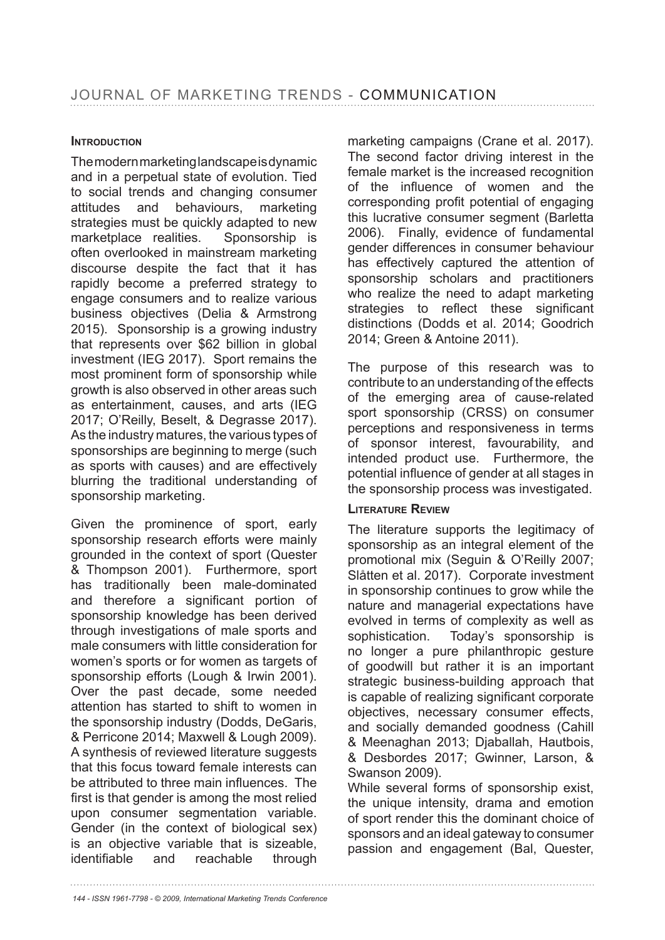#### **INTRODUCTION**

The modern marketing landscape is dynamic and in a perpetual state of evolution. Tied to social trends and changing consumer attitudes and behaviours, marketing strategies must be quickly adapted to new marketplace realities. Sponsorship is often overlooked in mainstream marketing discourse despite the fact that it has rapidly become a preferred strategy to engage consumers and to realize various business objectives (Delia & Armstrong 2015). Sponsorship is a growing industry that represents over \$62 billion in global investment (IEG 2017). Sport remains the most prominent form of sponsorship while growth is also observed in other areas such as entertainment, causes, and arts (IEG 2017; O'Reilly, Beselt, & Degrasse 2017). As the industry matures, the various types of sponsorships are beginning to merge (such as sports with causes) and are effectively blurring the traditional understanding of sponsorship marketing.

Given the prominence of sport, early sponsorship research efforts were mainly grounded in the context of sport (Quester & Thompson 2001). Furthermore, sport has traditionally been male-dominated and therefore a significant portion of sponsorship knowledge has been derived through investigations of male sports and male consumers with little consideration for women's sports or for women as targets of sponsorship efforts (Lough & Irwin 2001). Over the past decade, some needed attention has started to shift to women in the sponsorship industry (Dodds, DeGaris, & Perricone 2014; Maxwell & Lough 2009). A synthesis of reviewed literature suggests that this focus toward female interests can be attributed to three main influences. The first is that gender is among the most relied upon consumer segmentation variable. Gender (in the context of biological sex) is an objective variable that is sizeable, identifiable and reachable through

marketing campaigns (Crane et al. 2017). The second factor driving interest in the female market is the increased recognition of the influence of women and the corresponding profit potential of engaging this lucrative consumer segment (Barletta 2006). Finally, evidence of fundamental gender differences in consumer behaviour has effectively captured the attention of sponsorship scholars and practitioners who realize the need to adapt marketing strategies to reflect these significant distinctions (Dodds et al. 2014; Goodrich 2014; Green & Antoine 2011).

The purpose of this research was to contribute to an understanding of the effects of the emerging area of cause-related sport sponsorship (CRSS) on consumer perceptions and responsiveness in terms of sponsor interest, favourability, and intended product use. Furthermore, the potential influence of gender at all stages in the sponsorship process was investigated.

#### **LITERATURE REVIEW**

The literature supports the legitimacy of sponsorship as an integral element of the promotional mix (Seguin & O'Reilly 2007; Slåtten et al. 2017). Corporate investment in sponsorship continues to grow while the nature and managerial expectations have evolved in terms of complexity as well as sophistication. Today's sponsorship is no longer a pure philanthropic gesture of goodwill but rather it is an important strategic business-building approach that is capable of realizing significant corporate objectives, necessary consumer effects, and socially demanded goodness (Cahill & Meenaghan 2013; Djaballah, Hautbois, & Desbordes 2017; Gwinner, Larson, & Swanson 2009).

While several forms of sponsorship exist, the unique intensity, drama and emotion of sport render this the dominant choice of sponsors and an ideal gateway to consumer passion and engagement (Bal, Quester,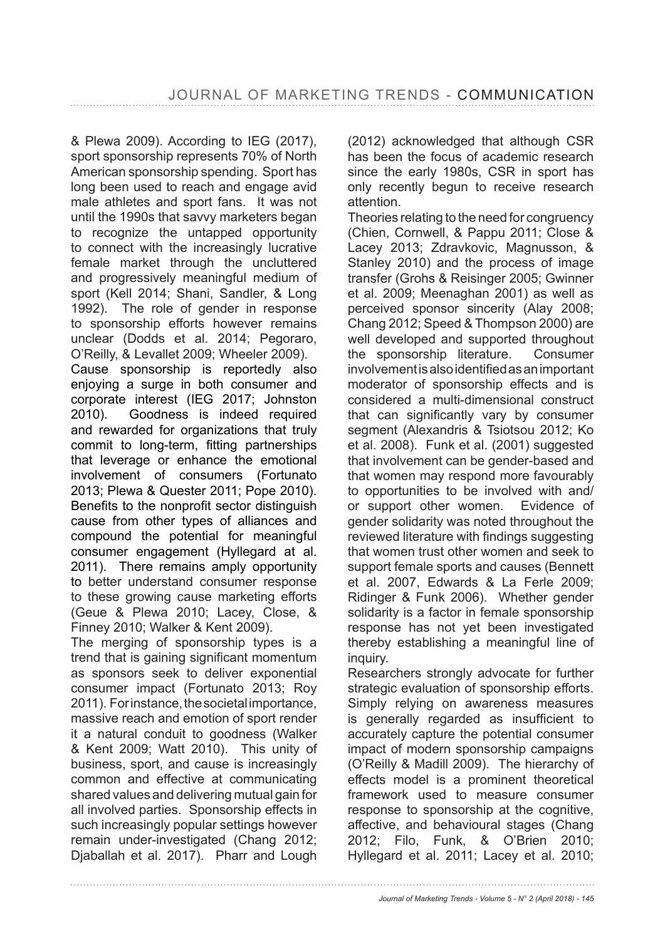& Plewa 2009). According to IEG (2017), sport sponsorship represents 70% of North American sponsorship spending. Sport has long been used to reach and engage avid male athletes and sport fans. It was not until the 1990s that savvy marketers began to recognize the untapped opportunity to connect with the increasingly lucrative female market through the uncluttered and progressively meaningful medium of sport (Kell 2014; Shani, Sandler, & Long 1992). The role of gender in response to sponsorship efforts however remains unclear (Dodds et al. 2014; Pegoraro, O'Reilly, & Levallet 2009; Wheeler 2009). Cause sponsorship is reportedly also enjoying a surge in both consumer and corporate interest (IEG 2017; Johnston 2010). Goodness is indeed required and rewarded for organizations that truly commit to long-term, fitting partnerships that leverage or enhance the emotional involvement of consumers (Fortunato 2013; Plewa & Quester 2011; Pope 2010). Benefits to the nonprofit sector distinguish cause from other types of alliances and compound the potential for meaningful consumer engagement (Hyllegard at al. 2011). There remains amply opportunity

to better understand consumer response to these growing cause marketing efforts (Geue & Plewa 2010; Lacey, Close, & Finney 2010; Walker & Kent 2009).

The merging of sponsorship types is a trend that is gaining significant momentum as sponsors seek to deliver exponential consumer impact (Fortunato 2013; Roy 2011). For instance, the societal importance, massive reach and emotion of sport render it a natural conduit to goodness (Walker & Kent 2009; Watt 2010). This unity of business, sport, and cause is increasingly common and effective at communicating shared values and delivering mutual gain for all involved parties. Sponsorship effects in such increasingly popular settings however remain under-investigated (Chang 2012; Djaballah et al. 2017). Pharr and Lough (2012) acknowledged that although CSR has been the focus of academic research since the early 1980s, CSR in sport has only recently begun to receive research attention.

Theories relating to the need for congruency (Chien, Cornwell, & Pappu 2011; Close & Lacey 2013; Zdravkovic, Magnusson, & Stanley 2010) and the process of image transfer (Grohs & Reisinger 2005; Gwinner et al. 2009; Meenaghan 2001) as well as perceived sponsor sincerity (Alay 2008; Chang 2012; Speed & Thompson 2000) are well developed and supported throughout the sponsorship literature. Consumer involvement is also identified as an important moderator of sponsorship effects and is considered a multi-dimensional construct that can significantly vary by consumer segment (Alexandris & Tsiotsou 2012; Ko et al. 2008). Funk et al. (2001) suggested that involvement can be gender-based and that women may respond more favourably to opportunities to be involved with and/ or support other women. Evidence of gender solidarity was noted throughout the reviewed literature with findings suggesting that women trust other women and seek to support female sports and causes (Bennett et al. 2007, Edwards & La Ferle 2009; Ridinger & Funk 2006). Whether gender solidarity is a factor in female sponsorship response has not yet been investigated thereby establishing a meaningful line of inquiry.

Researchers strongly advocate for further strategic evaluation of sponsorship efforts. Simply relying on awareness measures is generally regarded as insufficient to accurately capture the potential consumer impact of modern sponsorship campaigns (O'Reilly & Madill 2009). The hierarchy of effects model is a prominent theoretical framework used to measure consumer response to sponsorship at the cognitive, affective, and behavioural stages (Chang 2012; Filo, Funk, & O'Brien 2010; Hyllegard et al. 2011; Lacey et al. 2010;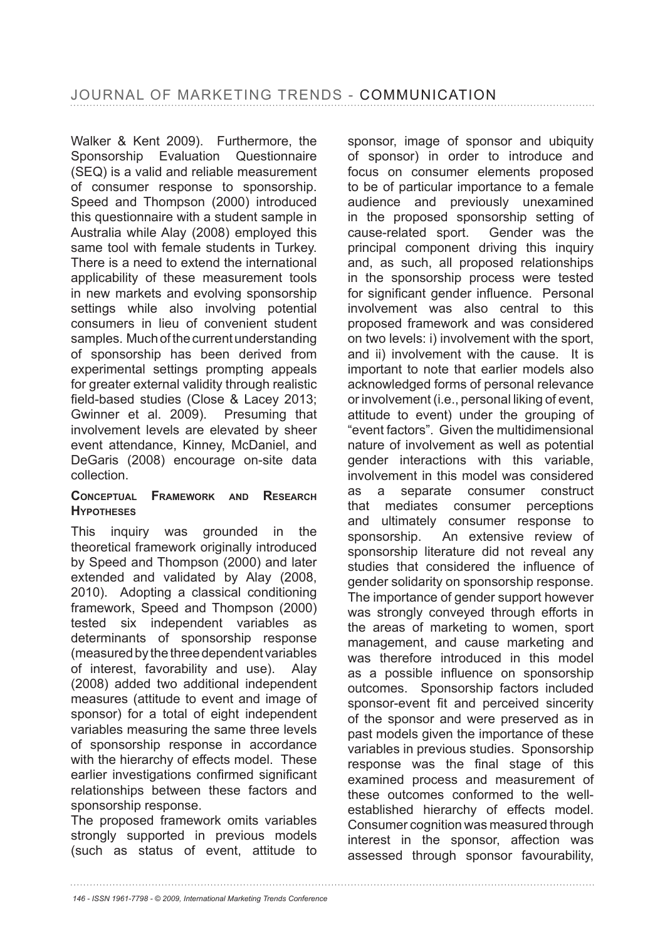Walker & Kent 2009). Furthermore, the Sponsorship Evaluation Questionnaire (SEQ) is a valid and reliable measurement of consumer response to sponsorship. Speed and Thompson (2000) introduced this questionnaire with a student sample in Australia while Alay (2008) employed this same tool with female students in Turkey. There is a need to extend the international applicability of these measurement tools in new markets and evolving sponsorship settings while also involving potential consumers in lieu of convenient student samples. Much of the current understanding of sponsorship has been derived from experimental settings prompting appeals for greater external validity through realistic  $field$ -based studies (Close & Lacey 2013; Gwinner et al. 2009). Presuming that involvement levels are elevated by sheer event attendance, Kinney, McDaniel, and DeGaris (2008) encourage on-site data collection.

#### **CONCEPTUAL FRAMEWORK AND RESEARCH HYPOTHESES**

This inquiry was grounded in the theoretical framework originally introduced by Speed and Thompson (2000) and later extended and validated by Alay (2008, 2010). Adopting a classical conditioning framework, Speed and Thompson (2000) tested six independent variables as determinants of sponsorship response (measured by the three dependent variables of interest, favorability and use). Alay (2008) added two additional independent measures (attitude to event and image of sponsor) for a total of eight independent variables measuring the same three levels of sponsorship response in accordance with the hierarchy of effects model. These earlier investigations confirmed significant relationships between these factors and sponsorship response.

The proposed framework omits variables strongly supported in previous models (such as status of event, attitude to sponsor, image of sponsor and ubiquity of sponsor) in order to introduce and focus on consumer elements proposed to be of particular importance to a female audience and previously unexamined in the proposed sponsorship setting of cause-related sport. Gender was the principal component driving this inquiry and, as such, all proposed relationships in the sponsorship process were tested for significant gender influence. Personal involvement was also central to this proposed framework and was considered on two levels: i) involvement with the sport, and ii) involvement with the cause. It is important to note that earlier models also acknowledged forms of personal relevance or involvement (i.e., personal liking of event, attitude to event) under the grouping of "event factors". Given the multidimensional nature of involvement as well as potential gender interactions with this variable, involvement in this model was considered as a separate consumer construct that mediates consumer perceptions and ultimately consumer response to sponsorship. An extensive review of sponsorship literature did not reveal any studies that considered the influence of gender solidarity on sponsorship response. The importance of gender support however was strongly conveyed through efforts in the areas of marketing to women, sport management, and cause marketing and was therefore introduced in this model as a possible influence on sponsorship outcomes. Sponsorship factors included sponsor-event fit and perceived sincerity of the sponsor and were preserved as in past models given the importance of these variables in previous studies. Sponsorship response was the final stage of this examined process and measurement of these outcomes conformed to the wellestablished hierarchy of effects model. Consumer cognition was measured through interest in the sponsor, affection was assessed through sponsor favourability,

*<sup>146 -</sup> ISSN 1961-7798 - © 2009, International Marketing Trends Conference*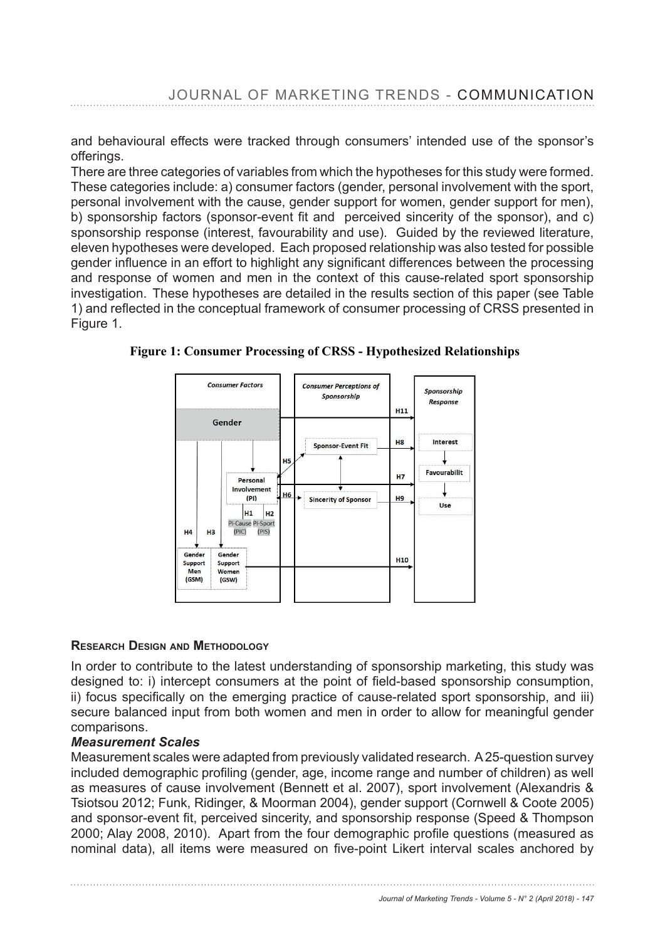and behavioural effects were tracked through consumers' intended use of the sponsor's offerings.

There are three categories of variables from which the hypotheses for this study were formed. These categories include: a) consumer factors (gender, personal involvement with the sport, personal involvement with the cause, gender support for women, gender support for men), b) sponsorship factors (sponsor-event fit and perceived sincerity of the sponsor), and c) sponsorship response (interest, favourability and use). Guided by the reviewed literature, eleven hypotheses were developed. Each proposed relationship was also tested for possible gender influence in an effort to highlight any significant differences between the processing and response of women and men in the context of this cause-related sport sponsorship investigation. These hypotheses are detailed in the results section of this paper (see Table 1) and reflected in the conceptual framework of consumer processing of CRSS presented in Figure 1.

**Figure 1: Consumer Processing of CRSS - Hypothesized Relationships** 



# **RESEARCH DESIGN AND METHODOLOGY**

In order to contribute to the latest understanding of sponsorship marketing, this study was designed to: i) intercept consumers at the point of field-based sponsorship consumption, ii) focus specifically on the emerging practice of cause-related sport sponsorship, and iii) secure balanced input from both women and men in order to allow for meaningful gender comparisons.

# *Measurement Scales*

Measurement scales were adapted from previously validated research. A 25-question survey included demographic profiling (gender, age, income range and number of children) as well as measures of cause involvement (Bennett et al. 2007), sport involvement (Alexandris & Tsiotsou 2012; Funk, Ridinger, & Moorman 2004), gender support (Cornwell & Coote 2005) and sponsor-event fit, perceived sincerity, and sponsorship response (Speed & Thompson<br>and sponsor-event fit, perceived sincerity, and sponsorship response (Speed & Thompson and sponsor-event iit, perceived sincenty, and sponsorsing response (opeed & Thompson<br>2000; Alay 2008, 2010). Apart from the four demographic profile questions (measured as nominal data), all items were measured on five-point Likert interval scales anchored by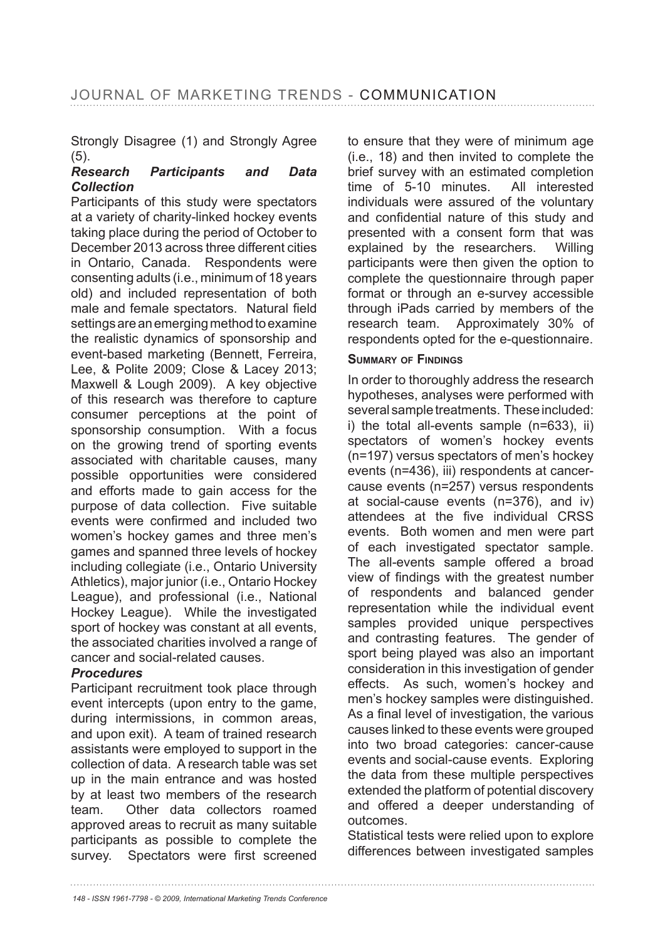Strongly Disagree (1) and Strongly Agree (5).<br>Research

#### *Research Participants and Data Collection*

Participants of this study were spectators at a variety of charity-linked hockey events taking place during the period of October to December 2013 across three different cities in Ontario, Canada. Respondents were consenting adults (i.e., minimum of 18 years old) and included representation of both male and female spectators. Natural field settings are an emerging method to examine the realistic dynamics of sponsorship and event-based marketing (Bennett, Ferreira, Lee, & Polite 2009; Close & Lacey 2013; Maxwell & Lough 2009). A key objective of this research was therefore to capture consumer perceptions at the point of sponsorship consumption. With a focus on the growing trend of sporting events associated with charitable causes, many possible opportunities were considered and efforts made to gain access for the purpose of data collection. Five suitable events were confirmed and included two women's hockey games and three men's games and spanned three levels of hockey including collegiate (i.e., Ontario University Athletics), major junior (i.e., Ontario Hockey League), and professional (i.e., National Hockey League). While the investigated sport of hockey was constant at all events, the associated charities involved a range of cancer and social-related causes.

# *Procedures*

Participant recruitment took place through event intercepts (upon entry to the game, during intermissions, in common areas, and upon exit). A team of trained research assistants were employed to support in the collection of data. A research table was set up in the main entrance and was hosted by at least two members of the research team. Other data collectors roamed approved areas to recruit as many suitable participants as possible to complete the survey. Spectators were first screened to ensure that they were of minimum age (i.e., 18) and then invited to complete the brief survey with an estimated completion time of 5-10 minutes. All interested individuals were assured of the voluntary and confidential nature of this study and presented with a consent form that was explained by the researchers. Willing participants were then given the option to complete the questionnaire through paper format or through an e-survey accessible through iPads carried by members of the research team. Approximately 30% of respondents opted for the e-questionnaire.

#### **SUMMARY OF FINDINGS**

In order to thoroughly address the research hypotheses, analyses were performed with several sample treatments. These included: i) the total all-events sample (n=633), ii) spectators of women's hockey events  $(n=197)$  versus spectators of men's hockey events (n=436), iii) respondents at cancercause events ( $n=257$ ) versus respondents at social-cause events ( $n=376$ ), and iv) attendees at the five individual CRSS events. Both women and men were part of each investigated spectator sample. The all-events sample offered a broad view of findings with the greatest number of respondents and balanced gender representation while the individual event samples provided unique perspectives and contrasting features. The gender of sport being played was also an important consideration in this investigation of gender effects. As such, women's hockey and men's hockey samples were distinguished. As a final level of investigation, the various causes linked to these events were grouped into two broad categories: cancer-cause events and social-cause events. Exploring the data from these multiple perspectives extended the platform of potential discovery and offered a deeper understanding of outcomes.

Statistical tests were relied upon to explore differences between investigated samples

*<sup>148 -</sup> ISSN 1961-7798 - © 2009, International Marketing Trends Conference*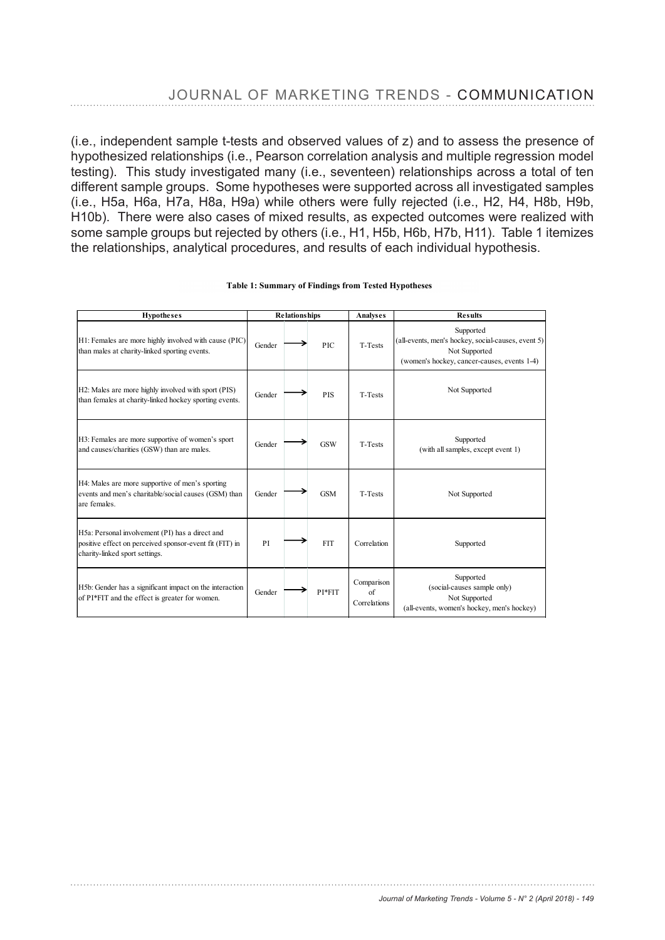(i.e., independent sample t-tests and observed values of z) and to assess the presence of hypothesized relationships (i.e., Pearson correlation analysis and multiple regression model testing). This study investigated many (i.e., seventeen) relationships across a total of ten different sample groups. Some hypotheses were supported across all investigated samples (i.e., H5a, H6a, H7a, H8a, H9a) while others were fully rejected (i.e., H2, H4, H8b, H9b, H10b). There were also cases of mixed results, as expected outcomes were realized with some sample groups but rejected by others (i.e., H1, H5b, H6b, H7b, H11). Table 1 itemizes the relationships, analytical procedures, and results of each individual hypothesis.

| <b>Hypotheses</b>                                                                                                                            | <b>Relationships</b> |            | Analyses                         | <b>Results</b>                                                                                                                  |
|----------------------------------------------------------------------------------------------------------------------------------------------|----------------------|------------|----------------------------------|---------------------------------------------------------------------------------------------------------------------------------|
| H1: Females are more highly involved with cause (PIC)<br>than males at charity-linked sporting events.                                       | Gender               | PIC.       | T-Tests                          | Supported<br>(all-events, men's hockey, social-causes, event 5)<br>Not Supported<br>(women's hockey, cancer-causes, events 1-4) |
| H <sub>2</sub> : Males are more highly involved with sport (PIS)<br>than females at charity-linked hockey sporting events.                   | Gender               | <b>PIS</b> | <b>T-Tests</b>                   | Not Supported                                                                                                                   |
| H3: Females are more supportive of women's sport<br>and causes/charities (GSW) than are males.                                               | Gender               | <b>GSW</b> | T-Tests                          | Supported<br>(with all samples, except event 1)                                                                                 |
| H4: Males are more supportive of men's sporting<br>events and men's charitable/social causes (GSM) than<br>are females.                      | Gender               | <b>GSM</b> | T-Tests                          | Not Supported                                                                                                                   |
| H5a: Personal involvement (PI) has a direct and<br>positive effect on perceived sponsor-event fit (FIT) in<br>charity-linked sport settings. | PI                   | <b>FIT</b> | Correlation                      | Supported                                                                                                                       |
| H5b: Gender has a significant impact on the interaction<br>of PI*FIT and the effect is greater for women.                                    | Gender               | PI*FIT     | Comparison<br>of<br>Correlations | Supported<br>(social-causes sample only)<br>Not Supported<br>(all-events, women's hockey, men's hockey)                         |

#### **Table 1: Summary of Findings from Tested Hypotheses**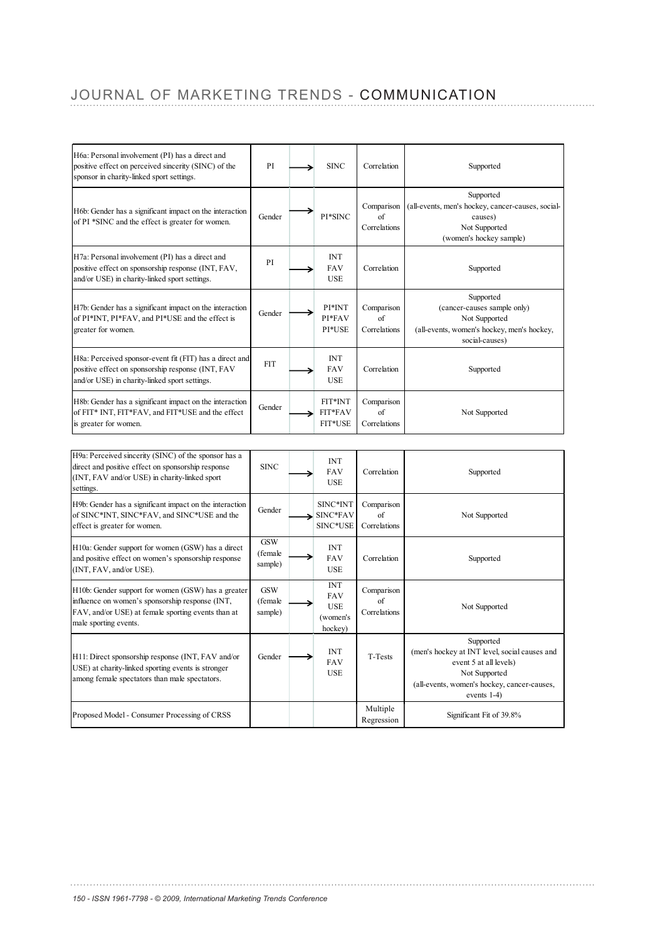# JOURNAL OF MARKETING TRENDS - COMMUNICATION

| H6a: Personal involvement (PI) has a direct and<br>positive effect on perceived sincerity (SINC) of the<br>sponsor in charity-linked sport settings.                                 | PI                               | <b>SINC</b>                                                   | Correlation                      | Supported                                                                                                                                                           |
|--------------------------------------------------------------------------------------------------------------------------------------------------------------------------------------|----------------------------------|---------------------------------------------------------------|----------------------------------|---------------------------------------------------------------------------------------------------------------------------------------------------------------------|
| H6b: Gender has a significant impact on the interaction<br>of PI *SINC and the effect is greater for women.                                                                          | Gender                           | PI*SINC                                                       | Comparison<br>of<br>Correlations | Supported<br>(all-events, men's hockey, cancer-causes, social-<br>causes)<br>Not Supported<br>(women's hockey sample)                                               |
| H7a: Personal involvement (PI) has a direct and<br>positive effect on sponsorship response (INT, FAV,<br>and/or USE) in charity-linked sport settings.                               | PI                               | <b>INT</b><br><b>FAV</b><br>USE                               | Correlation                      | Supported                                                                                                                                                           |
| H7b: Gender has a significant impact on the interaction<br>of PI*INT, PI*FAV, and PI*USE and the effect is<br>greater for women.                                                     | Gender                           | PI*INT<br>PI*FAV<br>PI*USE                                    | Comparison<br>of<br>Correlations | Supported<br>(cancer-causes sample only)<br>Not Supported<br>(all-events, women's hockey, men's hockey,<br>social-causes)                                           |
| H8a: Perceived sponsor-event fit (FIT) has a direct and<br>positive effect on sponsorship response (INT, FAV<br>and/or USE) in charity-linked sport settings.                        | <b>FIT</b>                       | <b>INT</b><br>FAV<br><b>USE</b>                               | Correlation                      | Supported                                                                                                                                                           |
| H8b: Gender has a significant impact on the interaction<br>of FIT* INT, FIT*FAV, and FIT*USE and the effect<br>is greater for women.                                                 | Gender                           | FIT*INT<br>FIT*FAV<br>FIT*USE                                 | Comparison<br>of<br>Correlations | Not Supported                                                                                                                                                       |
| H9a: Perceived sincerity (SINC) of the sponsor has a                                                                                                                                 |                                  |                                                               |                                  |                                                                                                                                                                     |
| direct and positive effect on sponsorship response<br>(INT, FAV and/or USE) in charity-linked sport<br>settings.                                                                     | <b>SINC</b>                      | <b>INT</b><br><b>FAV</b><br><b>USE</b>                        | Correlation                      | Supported                                                                                                                                                           |
| H9b: Gender has a significant impact on the interaction<br>of SINC*INT, SINC*FAV, and SINC*USE and the<br>effect is greater for women.                                               | Gender                           | SINC*INT<br>SINC*FAV<br>SINC*USE                              | Comparison<br>of<br>Correlations | Not Supported                                                                                                                                                       |
| H10a: Gender support for women (GSW) has a direct<br>and positive effect on women's sponsorship response<br>(INT, FAV, and/or USE).                                                  | <b>GSW</b><br>(female<br>sample) | <b>INT</b><br><b>FAV</b><br><b>USE</b>                        | Correlation                      | Supported                                                                                                                                                           |
| H10b: Gender support for women (GSW) has a greater<br>influence on women's sponsorship response (INT,<br>FAV, and/or USE) at female sporting events than at<br>male sporting events. | <b>GSW</b><br>(female<br>sample) | <b>INT</b><br><b>FAV</b><br><b>USE</b><br>(women's<br>hockey) | Comparison<br>of<br>Correlations | Not Supported                                                                                                                                                       |
| H11: Direct sponsorship response (INT, FAV and/or<br>USE) at charity-linked sporting events is stronger<br>among female spectators than male spectators.                             | Gender                           | <b>INT</b><br><b>FAV</b><br><b>USE</b>                        | T-Tests                          | Supported<br>(men's hockey at INT level, social causes and<br>event 5 at all levels)<br>Not Supported<br>(all-events, women's hockey, cancer-causes,<br>events 1-4) |
| Proposed Model - Consumer Processing of CRSS                                                                                                                                         |                                  |                                                               | Multiple<br>Regression           | Significant Fit of 39.8%                                                                                                                                            |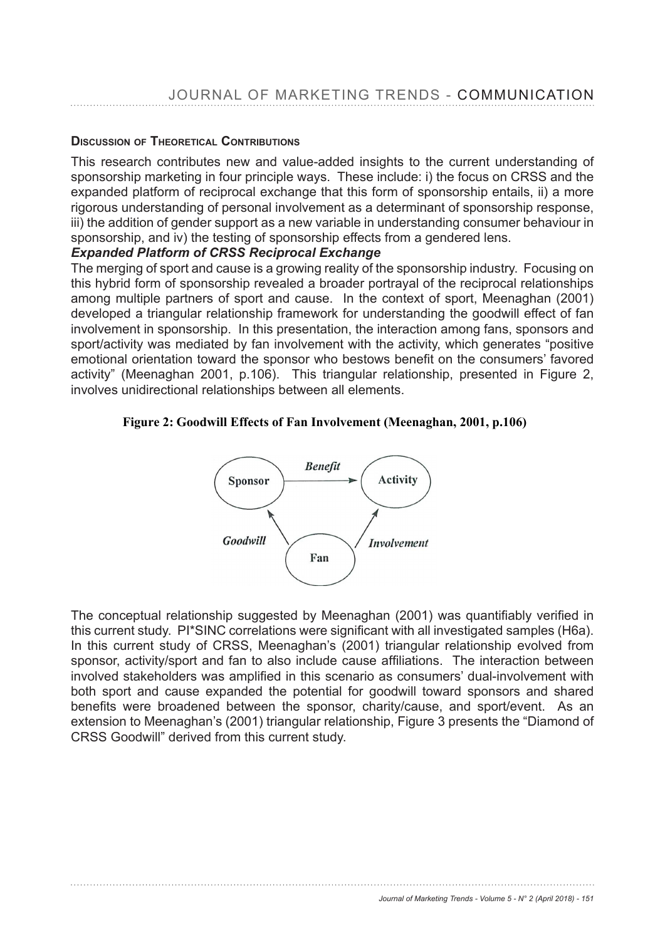# **D**ISCUSSION OF THEORETICAL CONTRIBUTIONS

This research contributes new and value-added insights to the current understanding of sponsorship marketing in four principle ways. These include: i) the focus on CRSS and the expanded platform of reciprocal exchange that this form of sponsorship entails, ii) a more rigorous understanding of personal involvement as a determinant of sponsorship response, iii) the addition of gender support as a new variable in understanding consumer behaviour in sponsorship, and iv) the testing of sponsorship effects from a gendered lens.

#### *Expanded Platform of CRSS Reciprocal Exchange*

The merging of sport and cause is a growing reality of the sponsorship industry. Focusing on this hybrid form of sponsorship revealed a broader portrayal of the reciprocal relationships among multiple partners of sport and cause. In the context of sport, Meenaghan (2001) developed a triangular relationship framework for understanding the goodwill effect of fan involvement in sponsorship. In this presentation, the interaction among fans, sponsors and sport/activity was mediated by fan involvement with the activity, which generates "positive emotional orientation toward the sponsor who bestows benefit on the consumers' favored activity" (Meenaghan 2001, p.106). This triangular relationship, presented in Figure 2, involves unidirectional relationships between all elements.

#### **Figure 2: Goodwill Effects of Fan Involvement (Meenaghan, 2001, p.106)**



The conceptual relationship suggested by Meenaghan (2001) was quantifiably verified in this current study. PI\*SINC correlations were significant with all investigated samples (H6a). In this current study of CRSS, Meenaghan's (2001) triangular relationship evolved from sponsor, activity/sport and fan to also include cause affiliations. The interaction between involved stakeholders was amplified in this scenario as consumers' dual-involvement with both sport and cause expanded the potential for goodwill toward sponsors and shared benefits were broadened between the sponsor, charity/cause, and sport/event. As an extension to Meenaghan's (2001) triangular relationship, Figure 3 presents the "Diamond of CRSS Goodwill" derived from this current study. *iamond of Goodwill")*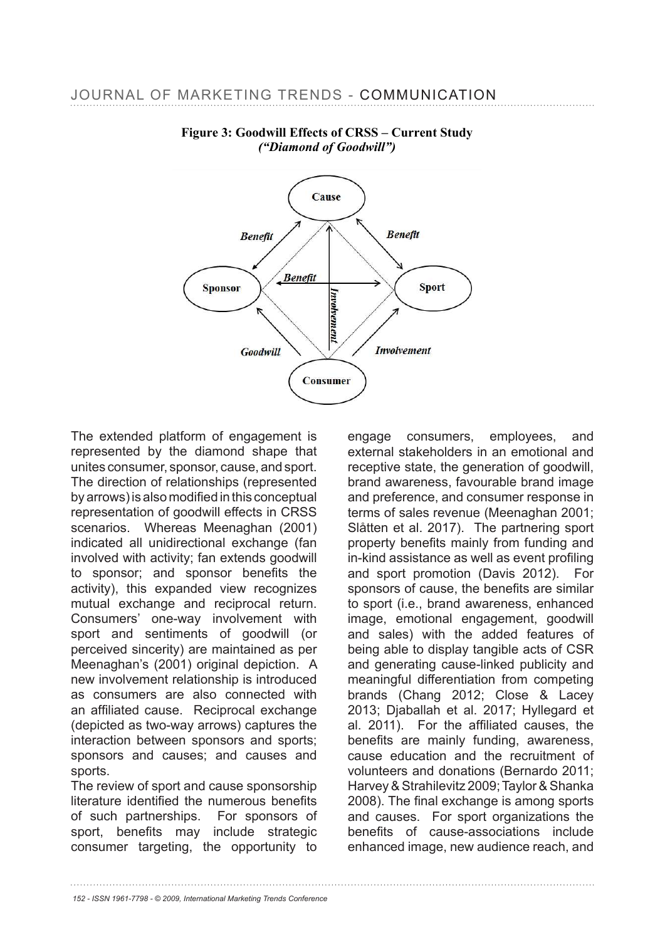

# **Figure 3: Goodwill Effects of CRSS – Current Study**  *("Diamond of Goodwill")*

The extended platform of engagement is represented by the diamond shape that unites consumer, sponsor, cause, and sport. The direction of relationships (represented by arrows) is also modified in this conceptual representation of goodwill effects in CRSS scenarios. Whereas Meenaghan (2001) indicated all unidirectional exchange (fan involved with activity; fan extends goodwill to sponsor; and sponsor benefits the activity), this expanded view recognizes mutual exchange and reciprocal return. Consumers' one-way involvement with sport and sentiments of goodwill (or perceived sincerity) are maintained as per Meenaghan's (2001) original depiction. A new involvement relationship is introduced as consumers are also connected with an affiliated cause. Reciprocal exchange (depicted as two-way arrows) captures the interaction between sponsors and sports; sponsors and causes; and causes and sports.

The review of sport and cause sponsorship literature identified the numerous benefits of such partnerships. For sponsors of sport, benefits may include strategic consumer targeting, the opportunity to

engage consumers, employees, and external stakeholders in an emotional and receptive state, the generation of goodwill, brand awareness, favourable brand image and preference, and consumer response in terms of sales revenue (Meenaghan 2001; Slåtten et al. 2017). The partnering sport property benefits mainly from funding and in-kind assistance as well as event profiling and sport promotion (Davis 2012). For sponsors of cause, the benefits are similar to sport (i.e., brand awareness, enhanced image, emotional engagement, goodwill and sales) with the added features of being able to display tangible acts of CSR and generating cause-linked publicity and meaningful differentiation from competing brands (Chang 2012; Close & Lacey 2013; Diaballah et al. 2017; Hyllegard et al. 2011). For the affiliated causes, the benefits are mainly funding, awareness, cause education and the recruitment of volunteers and donations (Bernardo 2011; Harvey & Strahilevitz 2009; Taylor & Shanka 2008). The final exchange is among sports and causes. For sport organizations the benefits of cause-associations include enhanced image, new audience reach, and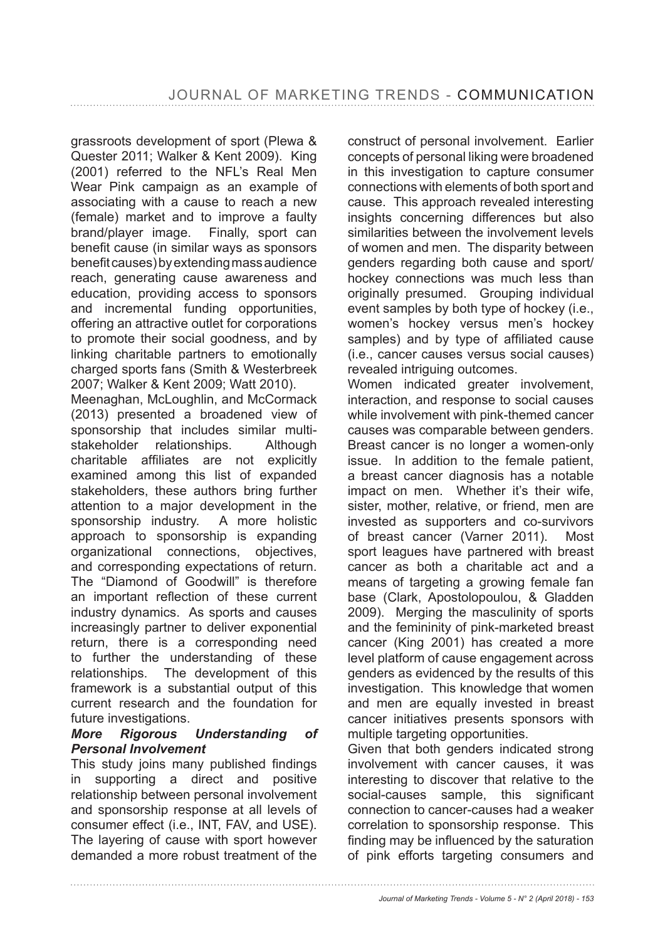grassroots development of sport (Plewa & Quester 2011; Walker & Kent 2009). King (2001) referred to the NFL's Real Men Wear Pink campaign as an example of associating with a cause to reach a new (female) market and to improve a faulty brand/player image. Finally, sport can benefit cause (in similar ways as sponsors benefit causes) by extending mass audience reach, generating cause awareness and education, providing access to sponsors and incremental funding opportunities, offering an attractive outlet for corporations to promote their social goodness, and by linking charitable partners to emotionally charged sports fans (Smith & Westerbreek 2007; Walker & Kent 2009; Watt 2010).

Meenaghan, McLoughlin, and McCormack (2013) presented a broadened view of sponsorship that includes similar multistakeholder relationships. Although charitable affiliates are not explicitly examined among this list of expanded stakeholders, these authors bring further attention to a major development in the sponsorship industry. A more holistic approach to sponsorship is expanding organizational connections, objectives, and corresponding expectations of return. The "Diamond of Goodwill" is therefore an important reflection of these current industry dynamics. As sports and causes increasingly partner to deliver exponential return, there is a corresponding need to further the understanding of these relationships. The development of this framework is a substantial output of this current research and the foundation for future investigations.

#### *More Rigorous Understanding of Personal Involvement*

This study joins many published findings in supporting a direct and positive relationship between personal involvement and sponsorship response at all levels of consumer effect (i.e., INT, FAV, and USE). The layering of cause with sport however demanded a more robust treatment of the construct of personal involvement. Earlier concepts of personal liking were broadened in this investigation to capture consumer connections with elements of both sport and cause. This approach revealed interesting insights concerning differences but also similarities between the involvement levels of women and men. The disparity between genders regarding both cause and sport/ hockey connections was much less than originally presumed. Grouping individual event samples by both type of hockey (i.e., women's hockey versus men's hockey samples) and by type of affiliated cause (i.e., cancer causes versus social causes) revealed intriguing outcomes.

Women indicated greater involvement, interaction, and response to social causes while involvement with pink-themed cancer causes was comparable between genders. Breast cancer is no longer a women-only issue. In addition to the female patient, a breast cancer diagnosis has a notable impact on men. Whether it's their wife, sister, mother, relative, or friend, men are invested as supporters and co-survivors of breast cancer (Varner 2011). Most sport leagues have partnered with breast cancer as both a charitable act and a means of targeting a growing female fan base (Clark, Apostolopoulou, & Gladden 2009). Merging the masculinity of sports and the femininity of pink-marketed breast cancer (King 2001) has created a more level platform of cause engagement across genders as evidenced by the results of this investigation. This knowledge that women and men are equally invested in breast cancer initiatives presents sponsors with multiple targeting opportunities.

Given that both genders indicated strong involvement with cancer causes, it was interesting to discover that relative to the social-causes sample, this significant connection to cancer-causes had a weaker correlation to sponsorship response. This finding may be influenced by the saturation of pink efforts targeting consumers and

*Journal of Marketing Trends - Volume 5 - N° 2 (April 2018) - 153*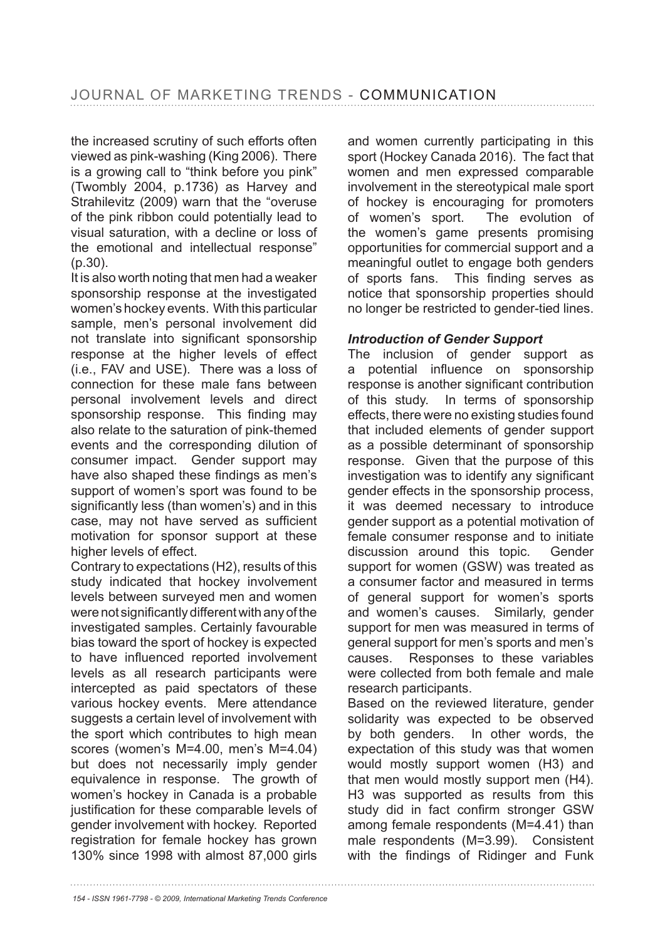the increased scrutiny of such efforts often viewed as pink-washing (King 2006). There is a growing call to "think before you pink" (Twombly  $2004$ , p.1736) as Harvey and Strahilevitz (2009) warn that the "overuse of the pink ribbon could potentially lead to visual saturation, with a decline or loss of the emotional and intellectual response" (p.30).

It is also worth noting that men had a weaker sponsorship response at the investigated women's hockey events. With this particular sample, men's personal involvement did not translate into significant sponsorship response at the higher levels of effect (i.e., FAV and USE). There was a loss of connection for these male fans between personal involvement levels and direct sponsorship response. This finding may also relate to the saturation of pink-themed events and the corresponding dilution of consumer impact. Gender support may have also shaped these findings as men's support of women's sport was found to be significantly less (than women's) and in this case, may not have served as sufficient motivation for sponsor support at these higher levels of effect.

Contrary to expectations (H2), results of this study indicated that hockey involvement levels between surveyed men and women were not significantly different with any of the investigated samples. Certainly favourable bias toward the sport of hockey is expected to have influenced reported involvement levels as all research participants were intercepted as paid spectators of these various hockey events. Mere attendance suggests a certain level of involvement with the sport which contributes to high mean scores (women's M=4.00, men's M=4.04) but does not necessarily imply gender equivalence in response. The growth of women's hockey in Canada is a probable justification for these comparable levels of gender involvement with hockey. Reported registration for female hockey has grown 130% since 1998 with almost 87,000 girls

and women currently participating in this sport (Hockey Canada 2016). The fact that women and men expressed comparable involvement in the stereotypical male sport of hockey is encouraging for promoters of women's sport. The evolution of the women's game presents promising opportunities for commercial support and a meaningful outlet to engage both genders of sports fans. This finding serves as notice that sponsorship properties should no longer be restricted to gender-tied lines.

# *Introduction of Gender Support*

The inclusion of gender support as a potential influence on sponsorship response is another significant contribution of this study. In terms of sponsorship effects, there were no existing studies found that included elements of gender support as a possible determinant of sponsorship response. Given that the purpose of this investigation was to identify any significant gender effects in the sponsorship process, it was deemed necessary to introduce gender support as a potential motivation of female consumer response and to initiate discussion around this topic. Gender support for women (GSW) was treated as a consumer factor and measured in terms of general support for women's sports and women's causes. Similarly, gender support for men was measured in terms of general support for men's sports and men's causes. Responses to these variables were collected from both female and male research participants.

Based on the reviewed literature, gender solidarity was expected to be observed by both genders. In other words, the expectation of this study was that women would mostly support women (H3) and that men would mostly support men (H4). H3 was supported as results from this study did in fact confirm stronger GSW among female respondents (M=4.41) than male respondents (M=3.99). Consistent with the findings of Ridinger and Funk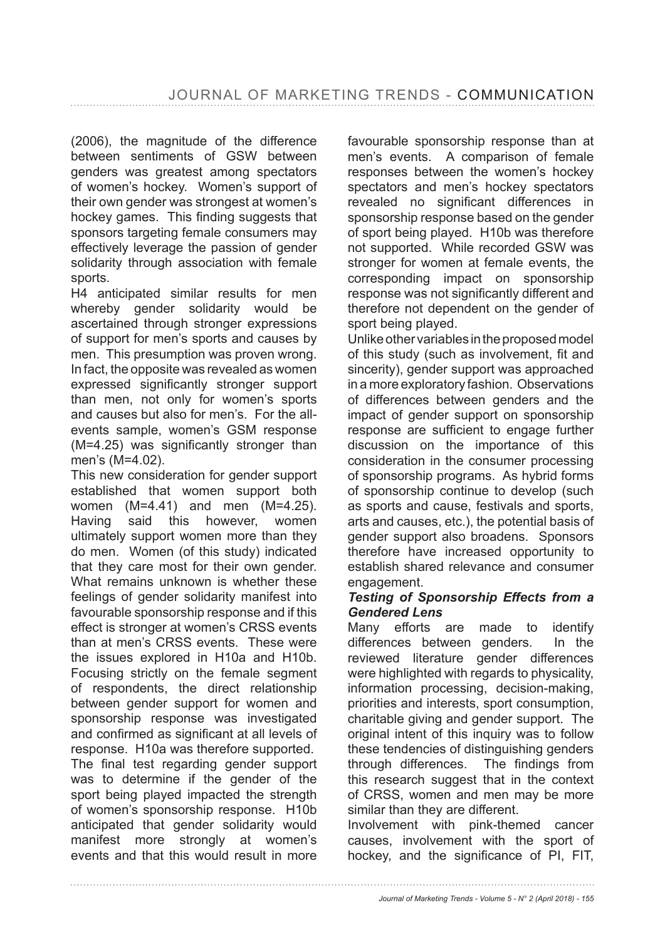(2006), the magnitude of the difference between sentiments of GSW between genders was greatest among spectators of women's hockey. Women's support of their own gender was strongest at women's hockey games. This finding suggests that sponsors targeting female consumers may effectively leverage the passion of gender solidarity through association with female sports.

H4 anticipated similar results for men whereby gender solidarity would be ascertained through stronger expressions of support for men's sports and causes by men. This presumption was proven wrong. In fact, the opposite was revealed as women expressed significantly stronger support than men, not only for women's sports and causes but also for men's. For the allevents sample, women's GSM response  $(M=4.25)$  was significantly stronger than men's (M=4.02).

This new consideration for gender support established that women support both women (M=4.41) and men (M=4.25). Having said this however, women ultimately support women more than they do men. Women (of this study) indicated that they care most for their own gender. What remains unknown is whether these feelings of gender solidarity manifest into favourable sponsorship response and if this effect is stronger at women's CRSS events than at men's CRSS events. These were the issues explored in H10a and H10b. Focusing strictly on the female segment of respondents, the direct relationship between gender support for women and sponsorship response was investigated and confirmed as significant at all levels of response. H10a was therefore supported. The final test regarding gender support was to determine if the gender of the sport being played impacted the strength of women's sponsorship response. H10b anticipated that gender solidarity would manifest more strongly at women's events and that this would result in more

favourable sponsorship response than at men's events. A comparison of female responses between the women's hockey spectators and men's hockey spectators revealed no significant differences in sponsorship response based on the gender of sport being played. H10b was therefore not supported. While recorded GSW was stronger for women at female events, the corresponding impact on sponsorship response was not significantly different and therefore not dependent on the gender of sport being played.

Unlike other variables in the proposed model of this study (such as involvement, fit and sincerity), gender support was approached in a more exploratory fashion. Observations of differences between genders and the impact of gender support on sponsorship response are sufficient to engage further discussion on the importance of this consideration in the consumer processing of sponsorship programs. As hybrid forms of sponsorship continue to develop (such as sports and cause, festivals and sports, arts and causes, etc.), the potential basis of gender support also broadens. Sponsors therefore have increased opportunity to establish shared relevance and consumer engagement.

#### *Testing of Sponsorship Effects from a Gendered Lens*

Many efforts are made to identify differences between genders. In the reviewed literature gender differences were highlighted with regards to physicality, information processing, decision-making, priorities and interests, sport consumption, charitable giving and gender support. The original intent of this inquiry was to follow these tendencies of distinguishing genders through differences. The findings from this research suggest that in the context of CRSS, women and men may be more similar than they are different.

Involvement with pink-themed cancer causes, involvement with the sport of hockey, and the significance of PI, FIT,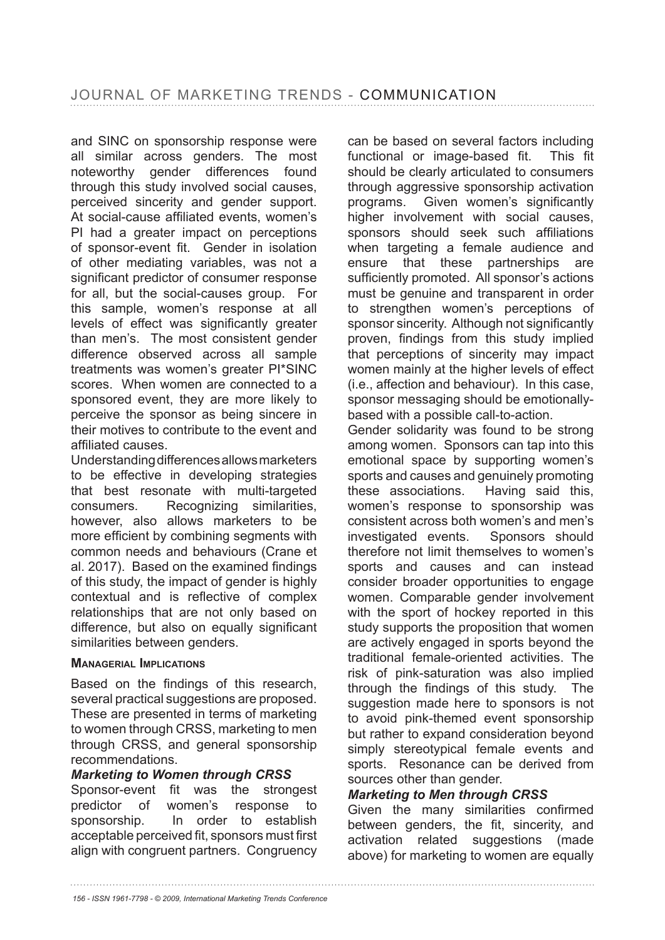and SINC on sponsorship response were all similar across genders. The most noteworthy gender differences found through this study involved social causes, perceived sincerity and gender support. At social-cause affiliated events, women's PI had a greater impact on perceptions of sponsor-event fit. Gender in isolation of other mediating variables, was not a significant predictor of consumer response for all, but the social-causes group. For this sample, women's response at all levels of effect was significantly greater than men's. The most consistent gender difference observed across all sample treatments was women's greater PI\*SINC scores. When women are connected to a sponsored event, they are more likely to perceive the sponsor as being sincere in their motives to contribute to the event and affiliated causes.

Understanding differences allows marketers to be effective in developing strategies that best resonate with multi-targeted consumers. Recognizing similarities, however, also allows marketers to be more efficient by combining segments with common needs and behaviours (Crane et al. 2017). Based on the examined findings of this study, the impact of gender is highly contextual and is reflective of complex relationships that are not only based on difference, but also on equally significant similarities between genders.

#### **MANAGERIAL IMPLICATIONS**

Based on the findings of this research, several practical suggestions are proposed. These are presented in terms of marketing to women through CRSS, marketing to men through CRSS, and general sponsorship recommendations.

#### *Marketing to Women through CRSS*

Sponsor-event fit was the strongest predictor of women's response to sponsorship. In order to establish acceptable perceived fit, sponsors must first align with congruent partners. Congruency

can be based on several factors including functional or image-based fit. This fit should be clearly articulated to consumers through aggressive sponsorship activation programs. Given women's significantly higher involvement with social causes, sponsors should seek such affiliations when targeting a female audience and ensure that these partnerships are sufficiently promoted. All sponsor's actions must be genuine and transparent in order to strengthen women's perceptions of sponsor sincerity. Although not significantly proven, findings from this study implied that perceptions of sincerity may impact women mainly at the higher levels of effect (i.e., affection and behaviour). In this case, sponsor messaging should be emotionallybased with a possible call-to-action.

Gender solidarity was found to be strong among women. Sponsors can tap into this emotional space by supporting women's sports and causes and genuinely promoting these associations. Having said this, women's response to sponsorship was consistent across both women's and men's investigated events. Sponsors should therefore not limit themselves to women's sports and causes and can instead consider broader opportunities to engage women. Comparable gender involvement with the sport of hockey reported in this study supports the proposition that women are actively engaged in sports beyond the traditional female-oriented activities. The risk of pink-saturation was also implied through the findings of this study. The suggestion made here to sponsors is not to avoid pink-themed event sponsorship but rather to expand consideration beyond simply stereotypical female events and sports. Resonance can be derived from sources other than gender.

#### *Marketing to Men through CRSS*

Given the many similarities confirmed between genders, the fit, sincerity, and activation related suggestions (made above) for marketing to women are equally

*<sup>156 -</sup> ISSN 1961-7798 - © 2009, International Marketing Trends Conference*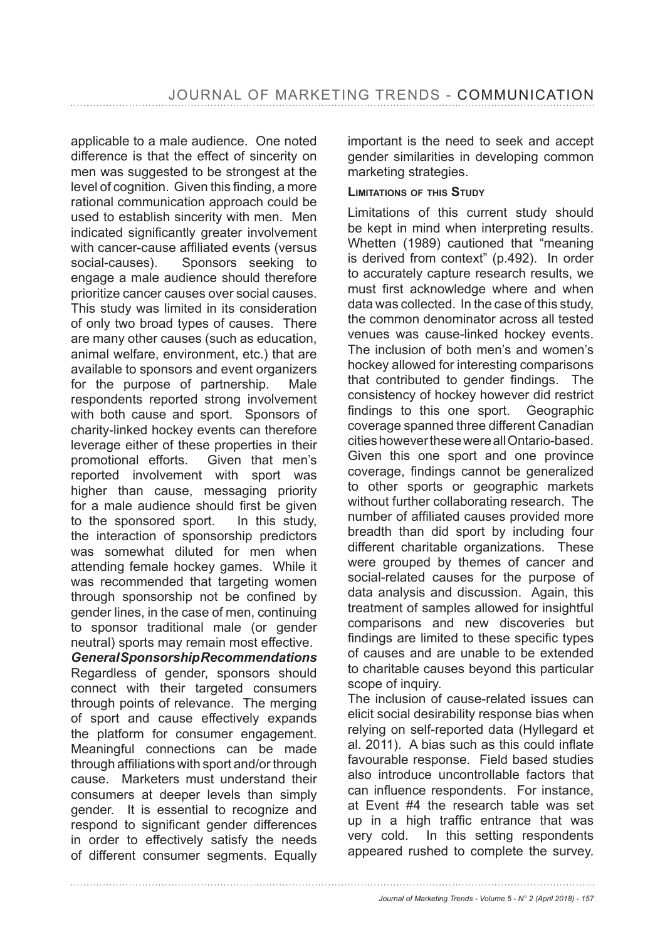applicable to a male audience. One noted difference is that the effect of sincerity on men was suggested to be strongest at the level of cognition. Given this finding, a more rational communication approach could be used to establish sincerity with men. Men indicated significantly greater involvement with cancer-cause affiliated events (versus social-causes). Sponsors seeking to engage a male audience should therefore prioritize cancer causes over social causes. This study was limited in its consideration of only two broad types of causes. There are many other causes (such as education, animal welfare, environment, etc.) that are available to sponsors and event organizers for the purpose of partnership. Male respondents reported strong involvement with both cause and sport. Sponsors of charity-linked hockey events can therefore leverage either of these properties in their promotional efforts. Given that men's reported involvement with sport was higher than cause, messaging priority for a male audience should first be given to the sponsored sport. In this study, the interaction of sponsorship predictors was somewhat diluted for men when attending female hockey games. While it was recommended that targeting women through sponsorship not be confined by gender lines, in the case of men, continuing to sponsor traditional male (or gender neutral) sports may remain most effective.

*General Sponsorship Recommendations* Regardless of gender, sponsors should connect with their targeted consumers through points of relevance. The merging of sport and cause effectively expands the platform for consumer engagement. Meaningful connections can be made through affiliations with sport and/or through cause. Marketers must understand their consumers at deeper levels than simply gender. It is essential to recognize and respond to significant gender differences in order to effectively satisfy the needs of different consumer segments. Equally

important is the need to seek and accept gender similarities in developing common marketing strategies.

#### **LIMITATIONS OF THIS STUDY**

Limitations of this current study should be kept in mind when interpreting results. Whetten (1989) cautioned that "meaning is derived from context" (p.492). In order to accurately capture research results, we must first acknowledge where and when data was collected. In the case of this study, the common denominator across all tested venues was cause-linked hockey events. The inclusion of both men's and women's hockey allowed for interesting comparisons that contributed to gender findings. The consistency of hockey however did restrict findings to this one sport. Geographic coverage spanned three different Canadian cities however these were all Ontario-based. Given this one sport and one province coverage, findings cannot be generalized to other sports or geographic markets without further collaborating research. The number of affiliated causes provided more breadth than did sport by including four different charitable organizations. These were grouped by themes of cancer and social-related causes for the purpose of data analysis and discussion. Again, this treatment of samples allowed for insightful comparisons and new discoveries but findings are limited to these specific types of causes and are unable to be extended to charitable causes beyond this particular scope of inquiry.

The inclusion of cause-related issues can elicit social desirability response bias when relying on self-reported data (Hyllegard et al. 2011). A bias such as this could inflate favourable response. Field based studies also introduce uncontrollable factors that can influence respondents. For instance. at Event #4 the research table was set up in a high traffic entrance that was very cold. In this setting respondents appeared rushed to complete the survey.

*Journal of Marketing Trends - Volume 5 - N° 2 (April 2018) - 157*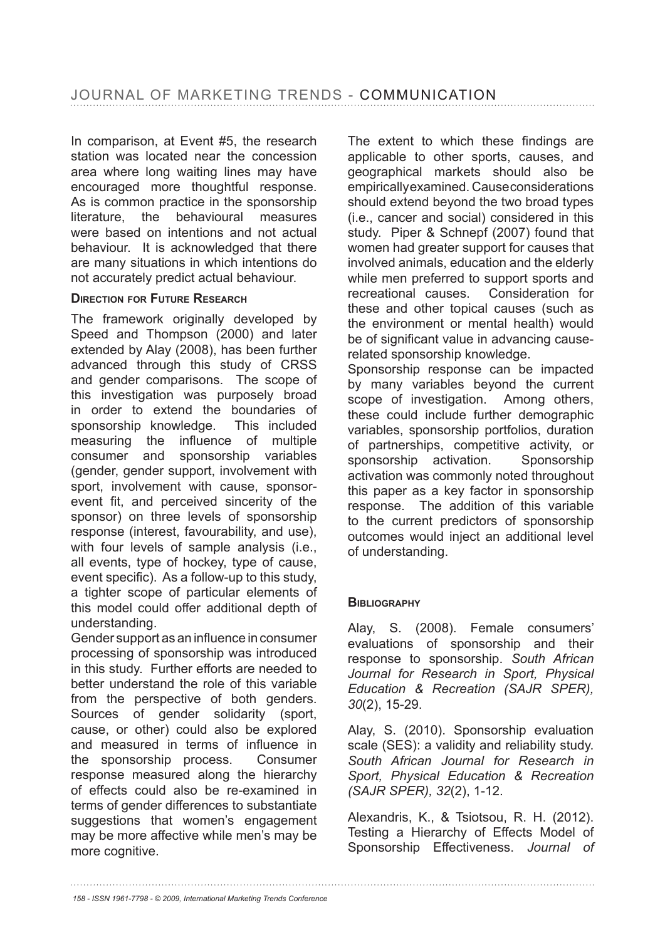In comparison, at Event #5, the research station was located near the concession area where long waiting lines may have encouraged more thoughtful response. As is common practice in the sponsorship literature, the behavioural measures were based on intentions and not actual behaviour. It is acknowledged that there are many situations in which intentions do not accurately predict actual behaviour.

#### **DIRECTION FOR FUTURE RESEARCH**

The framework originally developed by Speed and Thompson (2000) and later extended by Alay (2008), has been further advanced through this study of CRSS and gender comparisons. The scope of this investigation was purposely broad in order to extend the boundaries of sponsorship knowledge. This included measuring the influence of multiple consumer and sponsorship variables (gender, gender support, involvement with sport, involvement with cause, sponsorevent fit, and perceived sincerity of the sponsor) on three levels of sponsorship response (interest, favourability, and use), with four levels of sample analysis (i.e., all events, type of hockey, type of cause, event specific). As a follow-up to this study, a tighter scope of particular elements of this model could offer additional depth of understanding.

Gender support as an influence in consumer processing of sponsorship was introduced in this study. Further efforts are needed to better understand the role of this variable from the perspective of both genders. Sources of gender solidarity (sport, cause, or other) could also be explored and measured in terms of influence in the sponsorship process. Consumer response measured along the hierarchy of effects could also be re-examined in terms of gender differences to substantiate suggestions that women's engagement may be more affective while men's may be more cognitive.

The extent to which these findings are applicable to other sports, causes, and geographical markets should also be empirically examined. Cause considerations should extend beyond the two broad types (i.e., cancer and social) considered in this study. Piper & Schnepf (2007) found that women had greater support for causes that involved animals, education and the elderly while men preferred to support sports and recreational causes. Consideration for these and other topical causes (such as the environment or mental health) would be of significant value in advancing causerelated sponsorship knowledge. Sponsorship response can be impacted

by many variables beyond the current scope of investigation. Among others, these could include further demographic variables, sponsorship portfolios, duration of partnerships, competitive activity, or sponsorship activation. Sponsorship activation was commonly noted throughout this paper as a key factor in sponsorship response. The addition of this variable to the current predictors of sponsorship outcomes would inject an additional level of understanding.

# **BIBLIOGRAPHY**

Alay, S. (2008). Female consumers' evaluations of sponsorship and their response to sponsorship. *South African Journal for Research in Sport, Physical Education & Recreation (SAJR SPER), 30*(2), 15-29.

Alay, S. (2010). Sponsorship evaluation scale (SES): a validity and reliability study. *South African Journal for Research in Sport, Physical Education & Recreation (SAJR SPER), 32*(2), 1-12.

Alexandris, K., & Tsiotsou, R. H. (2012). Testing a Hierarchy of Effects Model of Sponsorship Effectiveness. *Journal of* 

*<sup>158 -</sup> ISSN 1961-7798 - © 2009, International Marketing Trends Conference*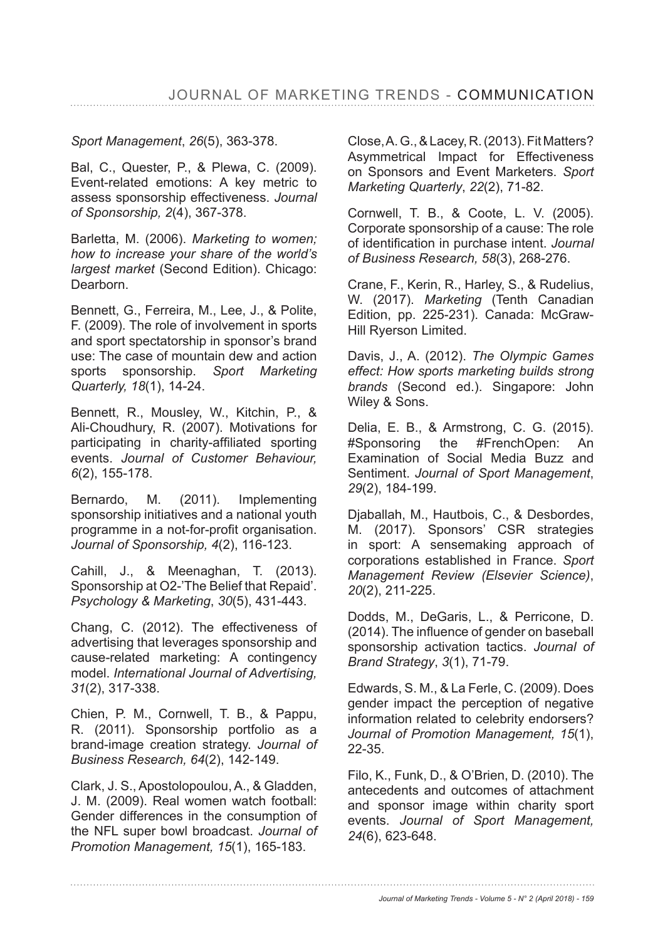# *Sport Management*, *26*

Bal, C., Quester, P., & Plewa, C. (2009). Event-related emotions: A key metric to assess sponsorship effectiveness. *Journal of Sponsorship, 2* 

Barletta, M. (2006). *Marketing to women; how to increase your share of the world's largest market* (Second Edition). Chicago: Dearborn.

Bennett, G., Ferreira, M., Lee, J., & Polite, F. (2009). The role of involvement in sports and sport spectatorship in sponsor's brand use: The case of mountain dew and action sports sponsorship. *Sport Marketing Quarterly, 18*(1), 14-24.

Bennett, R., Mousley, W., Kitchin, P., & Ali-Choudhury, R. (2007). Motivations for participating in charity-affiliated sporting events. *Journal of Customer Behaviour, 6* 

Bernardo, M. (2011). Implementing sponsorship initiatives and a national youth programme in a not-for-profit organisation. *Journal of Sponsorship, 4*(2), 116-123.

Cahill, J., & Meenaghan, T. (2013). Sponsorship at O2-'The Belief that Repaid'. *Psychology & Marketing*, *30*(5), 431-443.

Chang, C. (2012). The effectiveness of advertising that leverages sponsorship and cause-related marketing: A contingency model. *International Journal of Advertising, 31* 

Chien, P. M., Cornwell, T. B., & Pappu, R. (2011). Sponsorship portfolio as a brand-image creation strategy. *Journal of Business Research, 64*(2), 142-149.

Clark, J. S., Apostolopoulou, A., & Gladden, J. M. (2009). Real women watch football: Gender differences in the consumption of the NFL super bowl broadcast. *Journal of Promotion Management, 15*(1), 165-183.

Close, A. G., & Lacey, R. (2013). Fit Matters? Asymmetrical Impact for Effectiveness on Sponsors and Event Marketers. *Sport Marketing Quarterly*, *22* 

Cornwell, T. B., & Coote, L. V. (2005). Corporate sponsorship of a cause: The role of identification in purchase intent. Journal *of Business Research, 58* 

Crane, F., Kerin, R., Harley, S., & Rudelius, W. (2017). Marketing (Tenth Canadian Edition, pp. 225-231). Canada: McGraw-Hill Ryerson Limited.

Davis, J., A. (2012). *The Olympic Games effect: How sports marketing builds strong brands* (Second ed.). Singapore: John Wiley & Sons.

Delia, E. B., & Armstrong, C. G. (2015). #Sponsoring the #FrenchOpen: An Examination of Social Media Buzz and Sentiment. *Journal of Sport Management*, *29*(2), 184-199.

Djaballah, M., Hautbois, C., & Desbordes, M. (2017). Sponsors' CSR strategies in sport: A sensemaking approach of corporations established in France. *Sport Management Review (Elsevier Science)*, *20*(2), 211-225.

Dodds, M., DeGaris, L., & Perricone, D. (2014). The influence of gender on baseball sponsorship activation tactics. *Journal of Brand Strategy*, *3* 

Edwards, S. M., & La Ferle, C. (2009). Does gender impact the perception of negative information related to celebrity endorsers? *Journal of Promotion Management, 15*(1), 22-35.

Filo, K., Funk, D., & O'Brien, D. (2010). The antecedents and outcomes of attachment and sponsor image within charity sport events. *Journal of Sport Management, 24*(6), 623-648.

*Journal of Marketing Trends - Volume 5 - N° 2 (April 2018) - 159*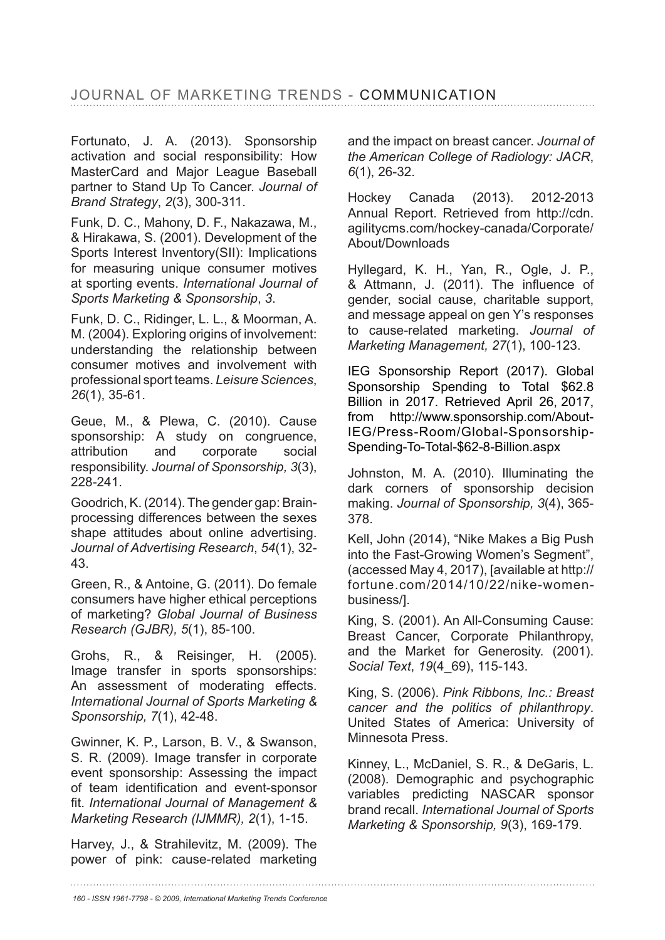Fortunato, J. A. (2013). Sponsorship activation and social responsibility: How MasterCard and Major League Baseball partner to Stand Up To Cancer. *Journal of Brand Strategy*, *2*(3), 300-311.

Funk, D. C., Mahony, D. F., Nakazawa, M., & Hirakawa, S. (2001). Development of the Sports Interest Inventory(SII): Implications for measuring unique consumer motives at sporting events. *International Journal of Sports Marketing & Sponsorship*, *3*.

Funk, D. C., Ridinger, L. L., & Moorman, A. M. (2004). Exploring origins of involvement: understanding the relationship between consumer motives and involvement with professional sport teams. *Leisure Sciences*, *26*(1), 35-61.

Geue, M., & Plewa, C. (2010). Cause sponsorship: A study on congruence, attribution and corporate social responsibility. *Journal of Sponsorship, 3*(3), 228-241.

Goodrich, K. (2014). The gender gap: Brainprocessing differences between the sexes shape attitudes about online advertising. *Journal of Advertising Research*, *54*(1), 32- 43.

Green, R., & Antoine, G. (2011). Do female consumers have higher ethical perceptions of marketing? Global Journal of Business *Research (GJBR), 5*(1), 85-100.

Grohs, R., & Reisinger, H. (2005). Image transfer in sports sponsorships: An assessment of moderating effects. *International Journal of Sports Marketing & Sponsorship, 7*(1), 42-48.

Gwinner, K. P., Larson, B. V., & Swanson, S. R. (2009). Image transfer in corporate event sponsorship: Assessing the impact of team identification and event-sponsor fit. International Journal of Management & *Marketing Research (IJMMR), 2*(1), 1-15.

Harvey, J., & Strahilevitz, M. (2009). The power of pink: cause-related marketing and the impact on breast cancer. *Journal of the American College of Radiology: JACR*, *6*(1), 26-32.

Hockey Canada (2013). 2012-2013 Annual Report. Retrieved from http://cdn. agilitycms.com/hockey-canada/Corporate/ About/Downloads

Hyllegard, K. H., Yan, R., Ogle, J. P., & Attmann, J. (2011). The influence of gender, social cause, charitable support, and message appeal on gen Y's responses to cause-related marketing. *Journal of Marketing Management, 27*(1), 100-123.

IEG Sponsorship Report (2017). Global Sponsorship Spending to Total \$62.8 Billion in 2017. Retrieved April 26, 2017, from http://www.sponsorship.com/About-IEG/Press-Room/Global-Sponsorship-Spending-To-Total-\$62-8-Billion.aspx

Johnston, M. A. (2010). Illuminating the dark corners of sponsorship decision making. *Journal of Sponsorship, 3*(4), 365- 378.

Kell, John (2014), "Nike Makes a Big Push into the Fast-Growing Women's Segment",  $(accessed$  May 4, 2017). [available at http:// fortune.com/2014/10/22/nike-womenbusiness/].

King, S. (2001). An All-Consuming Cause: Breast Cancer, Corporate Philanthropy, and the Market for Generosity. (2001). *Social Text*, *19*(4\_69), 115-143.

King, S. (2006). *Pink Ribbons, Inc.: Breast cancer and the politics of philanthropy*. United States of America: University of Minnesota Press.

Kinney, L., McDaniel, S. R., & DeGaris, L. (2008). Demographic and psychographic variables predicting NASCAR sponsor brand recall. *International Journal of Sports Marketing & Sponsorship, 9*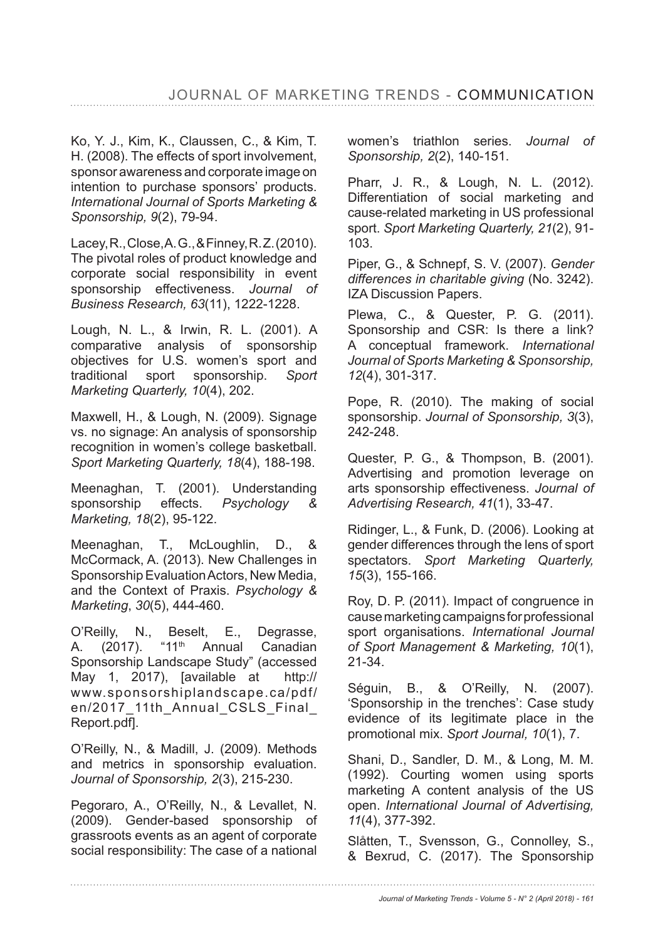Ko, Y. J., Kim, K., Claussen, C., & Kim, T. H. (2008). The effects of sport involvement, sponsor awareness and corporate image on intention to purchase sponsors' products. *International Journal of Sports Marketing & Sponsorship, 9* 

Lacey, R., Close, A. G., & Finney, R. Z. (2010). The pivotal roles of product knowledge and corporate social responsibility in event sponsorship effectiveness. *Journal of Business Research, 63*(11), 1222-1228.

Lough, N. L., & Irwin, R. L. (2001). A comparative analysis of sponsorship objectives for U.S. women's sport and traditional sport sponsorship. *Sport Marketing Quarterly, 10*(4), 202.

Maxwell, H., & Lough, N. (2009). Signage vs. no signage: An analysis of sponsorship recognition in women's college basketball. *Sport Marketing Quarterly, 18*(4), 188-198.

Meenaghan, T. (2001). Understanding sponsorship effects. *Psychology & Marketing, 18*(2), 95-122.

Meenaghan, T., McLoughlin, D., & McCormack, A. (2013). New Challenges in Sponsorship Evaluation Actors, New Media, and the Context of Praxis. *Psychology & Marketing*, *30*(5), 444-460.

O'Reilly, N., Beselt, E., Degrasse, A. (2017). "11<sup>th</sup> Annual Canadian Sponsorship Landscape Study" (accessed May 1, 2017), [available at http:// www.sponsorshiplandscape.ca/pdf/ en/2017 11th Annual CSLS Final Report.pdf].

O'Reilly, N., & Madill, J. (2009). Methods and metrics in sponsorship evaluation. *Journal of Sponsorship, 2*(3), 215-230.

Pegoraro, A., O'Reilly, N., & Levallet, N. (2009). Gender-based sponsorship of grassroots events as an agent of corporate social responsibility: The case of a national women's triathlon series. *Journal of Sponsorship, 2*(2), 140-151.

Pharr, J. R., & Lough, N. L. (2012). Differentiation of social marketing and cause-related marketing in US professional sport. *Sport Marketing Quarterly, 21*(2), 91- 103.

Piper, G., & Schnepf, S. V. (2007). Gender *differences in charitable giving* (No. 3242). IZA Discussion Papers.

Plewa, C., & Quester, P. G. (2011). Sponsorship and CSR: Is there a link? A conceptual framework. *International Journal of Sports Marketing & Sponsorship, 12* 

Pope, R. (2010). The making of social sponsorship. *Journal of Sponsorship, 3*(3), 242-248.

Quester, P. G., & Thompson, B. (2001). Advertising and promotion leverage on arts sponsorship effectiveness. *Journal of Advertising Research, 41* 

Ridinger, L., & Funk, D. (2006). Looking at gender differences through the lens of sport spectators. *Sport Marketing Quarterly, 15*(3), 155-166.

Roy, D. P. (2011). Impact of congruence in cause marketing campaigns for professional sport organisations. *International Journal of Sport Management & Marketing, 10*(1), 21-34.

Séguin, B., & O'Reilly, N. (2007). 'Sponsorship in the trenches': Case study evidence of its legitimate place in the promotional mix. *Sport Journal, 10* 

Shani, D., Sandler, D. M., & Long, M. M. (1992). Courting women using sports marketing A content analysis of the US open. *International Journal of Advertising, 11* 

Slåtten, T., Svensson, G., Connolley, S., & Bexrud, C. (2017). The Sponsorship

*Journal of Marketing Trends - Volume 5 - N° 2 (April 2018) - 161*